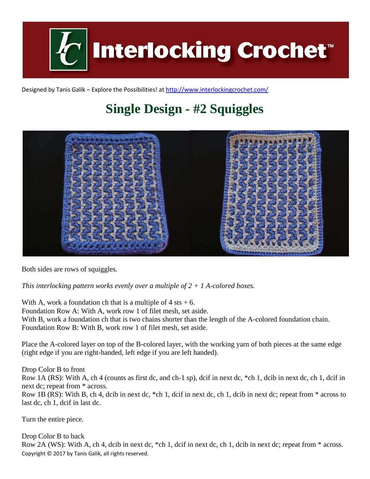

Designed by Tanis Galik – Explore the Possibilities! a[t http://www.interlockingcrochet.com/](http://www.interlockingcrochet.com/)

## **Single Design - #2 Squiggles**



Both sides are rows of squiggles.

*This interlocking pattern works evenly over a multiple of 2 + 1 A-colored boxes.*

With A, work a foundation ch that is a multiple of  $4$  sts  $+ 6$ . Foundation Row A: With A, work row 1 of filet mesh, set aside. With B, work a foundation ch that is two chains shorter than the length of the A-colored foundation chain. Foundation Row B: With B, work row 1 of filet mesh, set aside.

Place the A-colored layer on top of the B-colored layer, with the working yarn of both pieces at the same edge (right edge if you are right-handed, left edge if you are left handed).

Drop Color B to front Row 1A (RS): With A, ch 4 (counts as first dc, and ch-1 sp), dcif in next dc, \*ch 1, dcib in next dc, ch 1, dcif in next dc; repeat from \* across. Row 1B (RS): With B, ch 4, dcib in next dc, \*ch 1, dcif in next dc, ch 1, dcib in next dc; repeat from \* across to last dc, ch 1, dcif in last dc.

Turn the entire piece.

Copyright © 2017 by Tanis Galik, all rights reserved. Drop Color B to back Row 2A (WS): With A, ch 4, dcib in next dc, \*ch 1, dcif in next dc, ch 1, dcib in next dc; repeat from \* across.